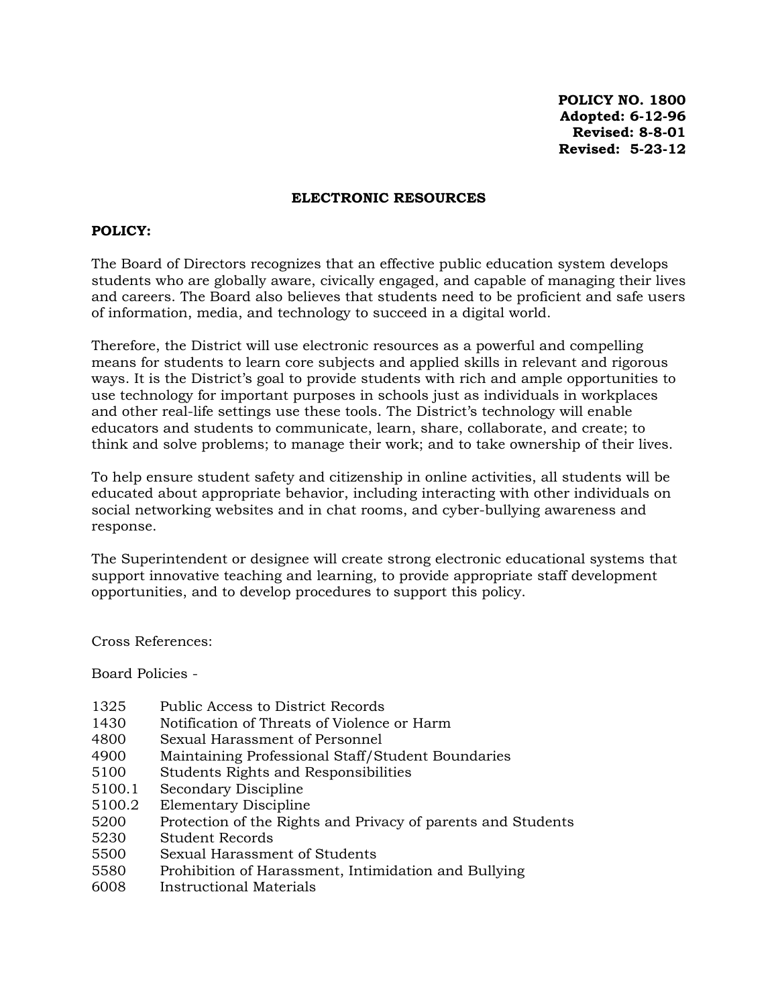**POLICY NO. 1800 Adopted: 6-12-96 Revised: 8-8-01 Revised: 5-23-12** 

#### **ELECTRONIC RESOURCES**

#### **POLICY:**

The Board of Directors recognizes that an effective public education system develops students who are globally aware, civically engaged, and capable of managing their lives and careers. The Board also believes that students need to be proficient and safe users of information, media, and technology to succeed in a digital world.

Therefore, the District will use electronic resources as a powerful and compelling means for students to learn core subjects and applied skills in relevant and rigorous ways. It is the District's goal to provide students with rich and ample opportunities to use technology for important purposes in schools just as individuals in workplaces and other real-life settings use these tools. The District's technology will enable educators and students to communicate, learn, share, collaborate, and create; to think and solve problems; to manage their work; and to take ownership of their lives.

To help ensure student safety and citizenship in online activities, all students will be educated about appropriate behavior, including interacting with other individuals on social networking websites and in chat rooms, and cyber-bullying awareness and response.

The Superintendent or designee will create strong electronic educational systems that support innovative teaching and learning, to provide appropriate staff development opportunities, and to develop procedures to support this policy.

Cross References:

Board Policies -

- 1325 Public Access to District Records
- 1430 Notification of Threats of Violence or Harm
- 4800 Sexual Harassment of Personnel
- 4900 Maintaining Professional Staff/Student Boundaries
- 5100 Students Rights and Responsibilities
- 5100.1 Secondary Discipline
- 5100.2 Elementary Discipline
- 5200 Protection of the Rights and Privacy of parents and Students
- 5230 Student Records
- 5500 Sexual Harassment of Students
- 5580 Prohibition of Harassment, Intimidation and Bullying
- 6008 Instructional Materials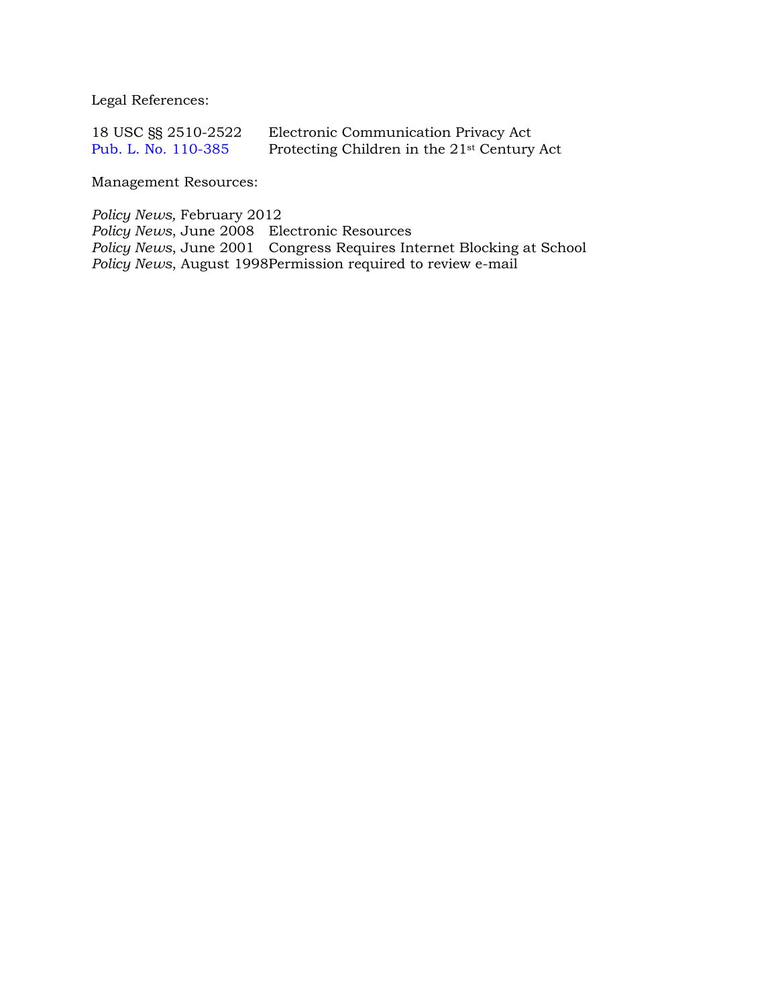Legal References:

| 18 USC SS 2510-2522 | Electronic Communication Privacy Act                    |
|---------------------|---------------------------------------------------------|
| Pub. L. No. 110-385 | Protecting Children in the 21 <sup>st</sup> Century Act |

Management Resources:

*Policy News,* February 2012

*Policy News*, June 2008 Electronic Resources *Policy News*, June 2001 Congress Requires Internet Blocking at School *Policy News*, August 1998Permission required to review e-mail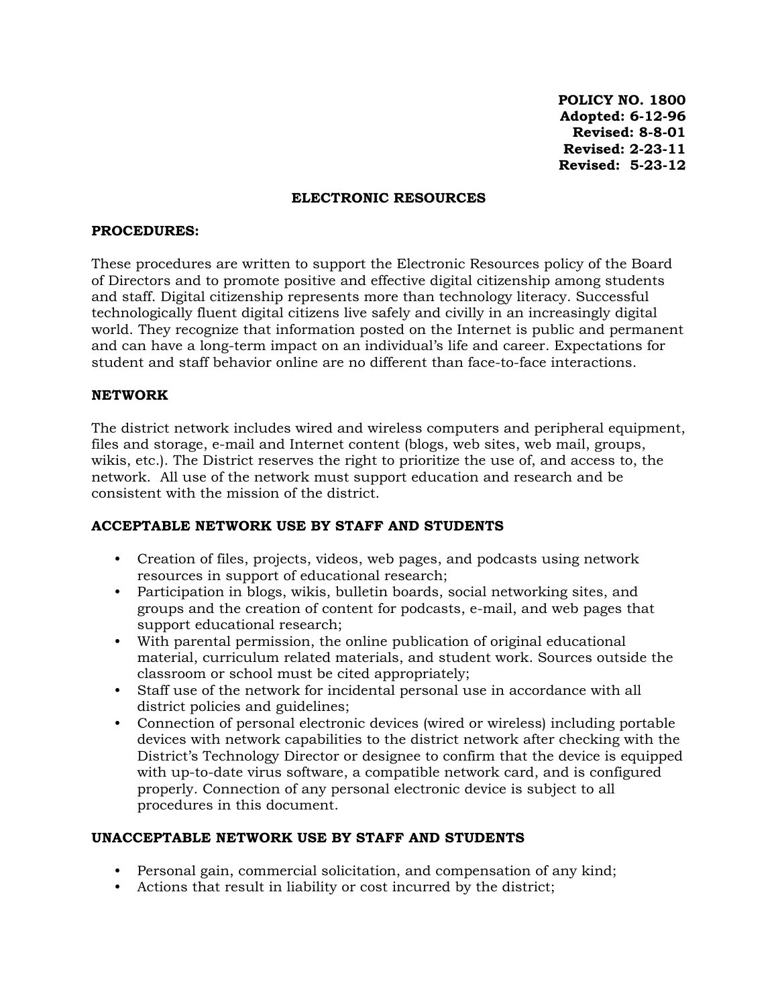**POLICY NO. 1800 Adopted: 6-12-96 Revised: 8-8-01 Revised: 2-23-11 Revised: 5-23-12**

#### **ELECTRONIC RESOURCES**

#### **PROCEDURES:**

These procedures are written to support the Electronic Resources policy of the Board of Directors and to promote positive and effective digital citizenship among students and staff. Digital citizenship represents more than technology literacy. Successful technologically fluent digital citizens live safely and civilly in an increasingly digital world. They recognize that information posted on the Internet is public and permanent and can have a long-term impact on an individual's life and career. Expectations for student and staff behavior online are no different than face-to-face interactions.

### **NETWORK**

The district network includes wired and wireless computers and peripheral equipment, files and storage, e-mail and Internet content (blogs, web sites, web mail, groups, wikis, etc.). The District reserves the right to prioritize the use of, and access to, the network. All use of the network must support education and research and be consistent with the mission of the district.

### **ACCEPTABLE NETWORK USE BY STAFF AND STUDENTS**

- Creation of files, projects, videos, web pages, and podcasts using network resources in support of educational research;
- Participation in blogs, wikis, bulletin boards, social networking sites, and groups and the creation of content for podcasts, e-mail, and web pages that support educational research;
- With parental permission, the online publication of original educational material, curriculum related materials, and student work. Sources outside the classroom or school must be cited appropriately;
- Staff use of the network for incidental personal use in accordance with all district policies and guidelines;
- Connection of personal electronic devices (wired or wireless) including portable devices with network capabilities to the district network after checking with the District's Technology Director or designee to confirm that the device is equipped with up-to-date virus software, a compatible network card, and is configured properly. Connection of any personal electronic device is subject to all procedures in this document.

## **UNACCEPTABLE NETWORK USE BY STAFF AND STUDENTS**

- Personal gain, commercial solicitation, and compensation of any kind;
- Actions that result in liability or cost incurred by the district;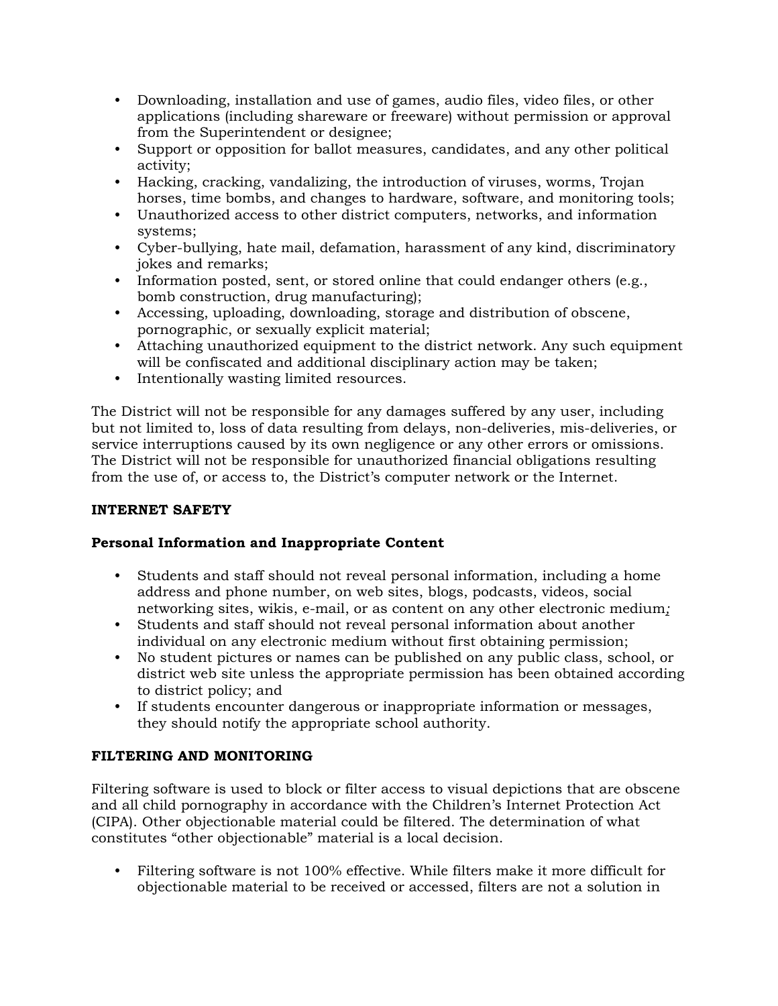- Downloading, installation and use of games, audio files, video files, or other applications (including shareware or freeware) without permission or approval from the Superintendent or designee;
- Support or opposition for ballot measures, candidates, and any other political activity;
- Hacking, cracking, vandalizing, the introduction of viruses, worms, Trojan horses, time bombs, and changes to hardware, software, and monitoring tools;
- Unauthorized access to other district computers, networks, and information systems;
- Cyber-bullying, hate mail, defamation, harassment of any kind, discriminatory jokes and remarks;
- Information posted, sent, or stored online that could endanger others (e.g., bomb construction, drug manufacturing);
- Accessing, uploading, downloading, storage and distribution of obscene, pornographic, or sexually explicit material;
- Attaching unauthorized equipment to the district network. Any such equipment will be confiscated and additional disciplinary action may be taken;
- Intentionally wasting limited resources.

The District will not be responsible for any damages suffered by any user, including but not limited to, loss of data resulting from delays, non-deliveries, mis-deliveries, or service interruptions caused by its own negligence or any other errors or omissions. The District will not be responsible for unauthorized financial obligations resulting from the use of, or access to, the District's computer network or the Internet.

# **INTERNET SAFETY**

## **Personal Information and Inappropriate Content**

- Students and staff should not reveal personal information, including a home address and phone number, on web sites, blogs, podcasts, videos, social networking sites, wikis, e-mail, or as content on any other electronic medium*;*
- Students and staff should not reveal personal information about another individual on any electronic medium without first obtaining permission;
- No student pictures or names can be published on any public class, school, or district web site unless the appropriate permission has been obtained according to district policy; and
- If students encounter dangerous or inappropriate information or messages, they should notify the appropriate school authority.

# **FILTERING AND MONITORING**

Filtering software is used to block or filter access to visual depictions that are obscene and all child pornography in accordance with the Children's Internet Protection Act (CIPA). Other objectionable material could be filtered. The determination of what constitutes "other objectionable" material is a local decision.

• Filtering software is not 100% effective. While filters make it more difficult for objectionable material to be received or accessed, filters are not a solution in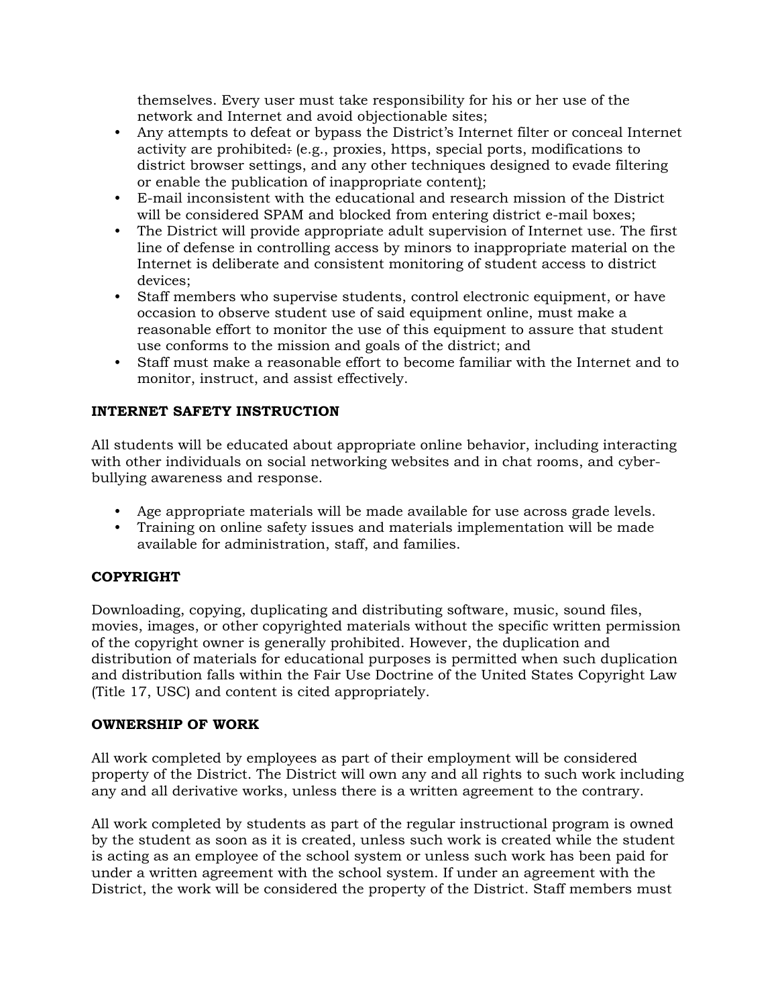themselves. Every user must take responsibility for his or her use of the network and Internet and avoid objectionable sites;

- Any attempts to defeat or bypass the District's Internet filter or conceal Internet activity are prohibited: (e.g., proxies, https, special ports, modifications to district browser settings, and any other techniques designed to evade filtering or enable the publication of inappropriate content);
- E-mail inconsistent with the educational and research mission of the District will be considered SPAM and blocked from entering district e-mail boxes;
- The District will provide appropriate adult supervision of Internet use. The first line of defense in controlling access by minors to inappropriate material on the Internet is deliberate and consistent monitoring of student access to district devices;
- Staff members who supervise students, control electronic equipment, or have occasion to observe student use of said equipment online, must make a reasonable effort to monitor the use of this equipment to assure that student use conforms to the mission and goals of the district; and
- Staff must make a reasonable effort to become familiar with the Internet and to monitor, instruct, and assist effectively.

# **INTERNET SAFETY INSTRUCTION**

All students will be educated about appropriate online behavior, including interacting with other individuals on social networking websites and in chat rooms, and cyberbullying awareness and response.

- Age appropriate materials will be made available for use across grade levels.
- Training on online safety issues and materials implementation will be made available for administration, staff, and families.

## **COPYRIGHT**

Downloading, copying, duplicating and distributing software, music, sound files, movies, images, or other copyrighted materials without the specific written permission of the copyright owner is generally prohibited. However, the duplication and distribution of materials for educational purposes is permitted when such duplication and distribution falls within the Fair Use Doctrine of the United States Copyright Law (Title 17, USC) and content is cited appropriately.

## **OWNERSHIP OF WORK**

All work completed by employees as part of their employment will be considered property of the District. The District will own any and all rights to such work including any and all derivative works, unless there is a written agreement to the contrary.

All work completed by students as part of the regular instructional program is owned by the student as soon as it is created, unless such work is created while the student is acting as an employee of the school system or unless such work has been paid for under a written agreement with the school system. If under an agreement with the District, the work will be considered the property of the District. Staff members must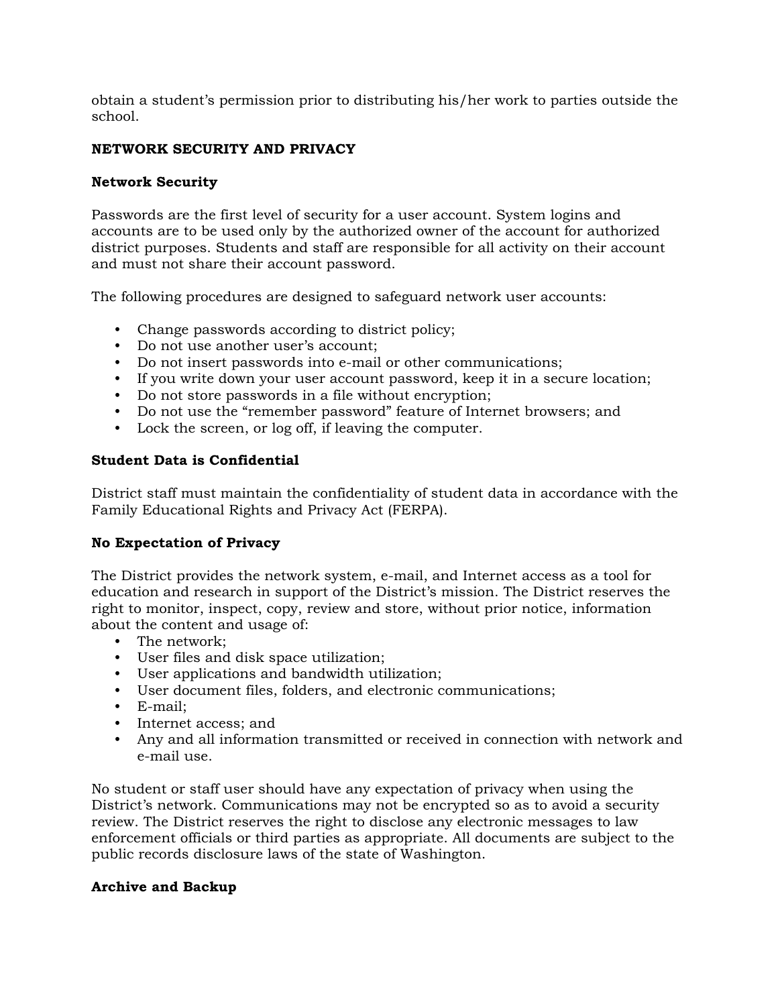obtain a student's permission prior to distributing his/her work to parties outside the school.

# **NETWORK SECURITY AND PRIVACY**

## **Network Security**

Passwords are the first level of security for a user account. System logins and accounts are to be used only by the authorized owner of the account for authorized district purposes. Students and staff are responsible for all activity on their account and must not share their account password.

The following procedures are designed to safeguard network user accounts:

- Change passwords according to district policy;
- Do not use another user's account;
- Do not insert passwords into e-mail or other communications;
- If you write down your user account password, keep it in a secure location;
- Do not store passwords in a file without encryption;
- Do not use the "remember password" feature of Internet browsers; and
- Lock the screen, or log off, if leaving the computer.

### **Student Data is Confidential**

District staff must maintain the confidentiality of student data in accordance with the Family Educational Rights and Privacy Act (FERPA).

### **No Expectation of Privacy**

The District provides the network system, e-mail, and Internet access as a tool for education and research in support of the District's mission. The District reserves the right to monitor, inspect, copy, review and store, without prior notice, information about the content and usage of:

- The network;
- User files and disk space utilization;
- User applications and bandwidth utilization;
- User document files, folders, and electronic communications;
- E-mail;
- Internet access; and
- Any and all information transmitted or received in connection with network and e-mail use.

No student or staff user should have any expectation of privacy when using the District's network. Communications may not be encrypted so as to avoid a security review. The District reserves the right to disclose any electronic messages to law enforcement officials or third parties as appropriate. All documents are subject to the public records disclosure laws of the state of Washington.

### **Archive and Backup**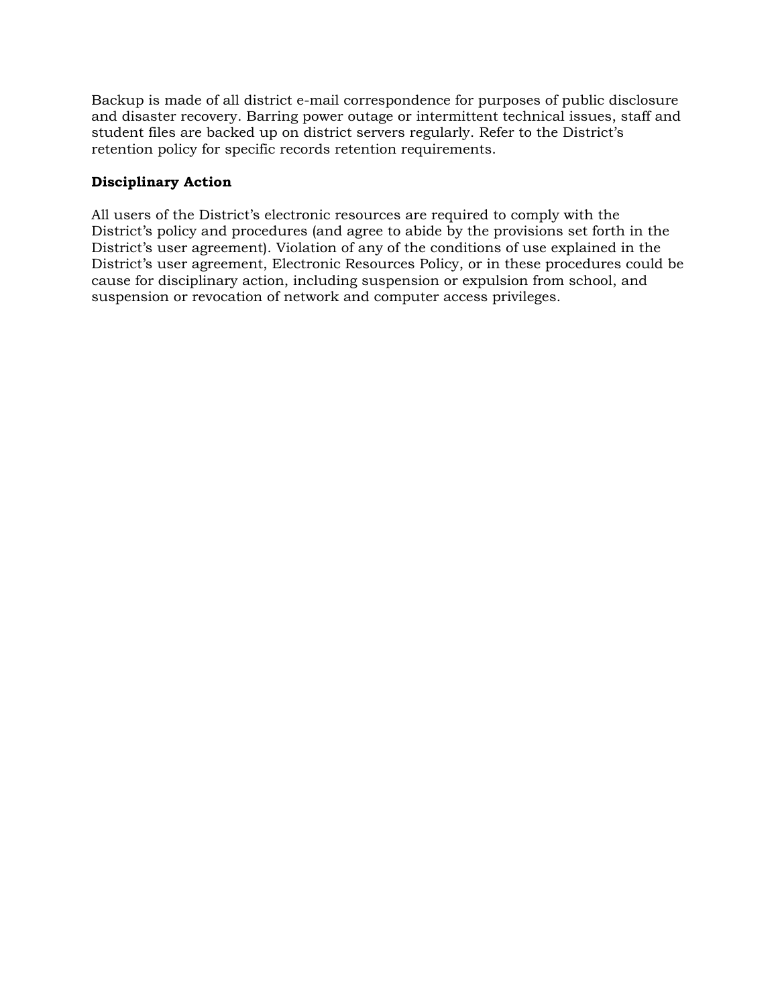Backup is made of all district e-mail correspondence for purposes of public disclosure and disaster recovery. Barring power outage or intermittent technical issues, staff and student files are backed up on district servers regularly. Refer to the District's retention policy for specific records retention requirements.

## **Disciplinary Action**

All users of the District's electronic resources are required to comply with the District's policy and procedures (and agree to abide by the provisions set forth in the District's user agreement). Violation of any of the conditions of use explained in the District's user agreement, Electronic Resources Policy, or in these procedures could be cause for disciplinary action, including suspension or expulsion from school, and suspension or revocation of network and computer access privileges.